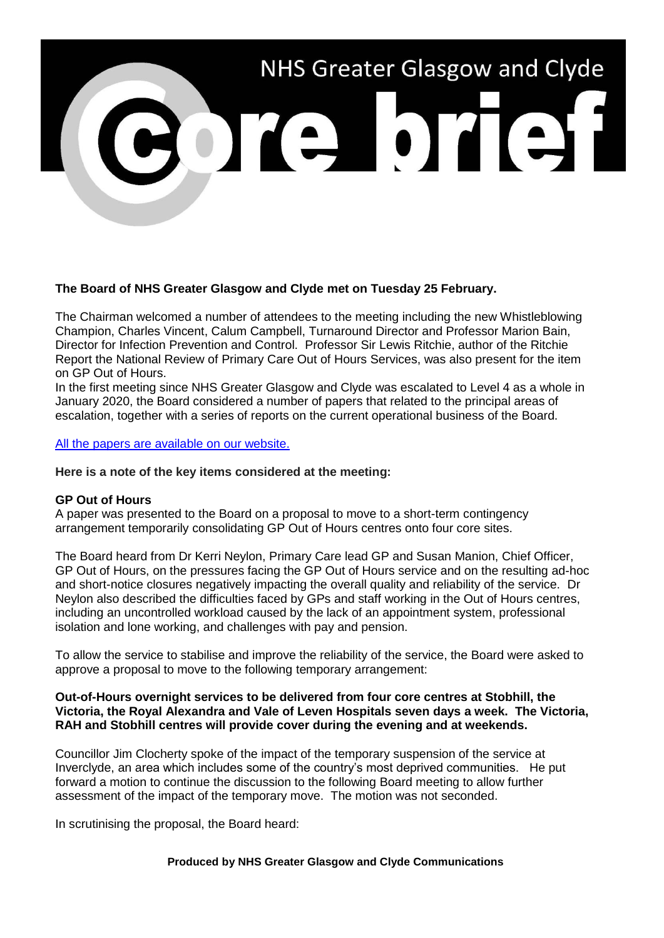# NHS Greater Glasgow and Clyde

# **The Board of NHS Greater Glasgow and Clyde met on Tuesday 25 February.**

The Chairman welcomed a number of attendees to the meeting including the new Whistleblowing Champion, Charles Vincent, Calum Campbell, Turnaround Director and Professor Marion Bain, Director for Infection Prevention and Control. Professor Sir Lewis Ritchie, author of the Ritchie Report the National Review of Primary Care Out of Hours Services, was also present for the item on GP Out of Hours.

In the first meeting since NHS Greater Glasgow and Clyde was escalated to Level 4 as a whole in January 2020, the Board considered a number of papers that related to the principal areas of escalation, together with a series of reports on the current operational business of the Board.

#### [All the papers are available on our website.](https://www.nhsggc.org.uk/about-us/nhsggc-board/board-meetings-papers-reports/papers/2020/)

#### **Here is a note of the key items considered at the meeting:**

#### **GP Out of Hours**

A paper was presented to the Board on a proposal to move to a short-term contingency arrangement temporarily consolidating GP Out of Hours centres onto four core sites.

The Board heard from Dr Kerri Neylon, Primary Care lead GP and Susan Manion, Chief Officer, GP Out of Hours, on the pressures facing the GP Out of Hours service and on the resulting ad-hoc and short-notice closures negatively impacting the overall quality and reliability of the service. Dr Neylon also described the difficulties faced by GPs and staff working in the Out of Hours centres, including an uncontrolled workload caused by the lack of an appointment system, professional isolation and lone working, and challenges with pay and pension.

To allow the service to stabilise and improve the reliability of the service, the Board were asked to approve a proposal to move to the following temporary arrangement:

#### **Out-of-Hours overnight services to be delivered from four core centres at Stobhill, the Victoria, the Royal Alexandra and Vale of Leven Hospitals seven days a week. The Victoria, RAH and Stobhill centres will provide cover during the evening and at weekends.**

Councillor Jim Clocherty spoke of the impact of the temporary suspension of the service at Inverclyde, an area which includes some of the country's most deprived communities. He put forward a motion to continue the discussion to the following Board meeting to allow further assessment of the impact of the temporary move. The motion was not seconded.

In scrutinising the proposal, the Board heard:

#### **Produced by NHS Greater Glasgow and Clyde Communications**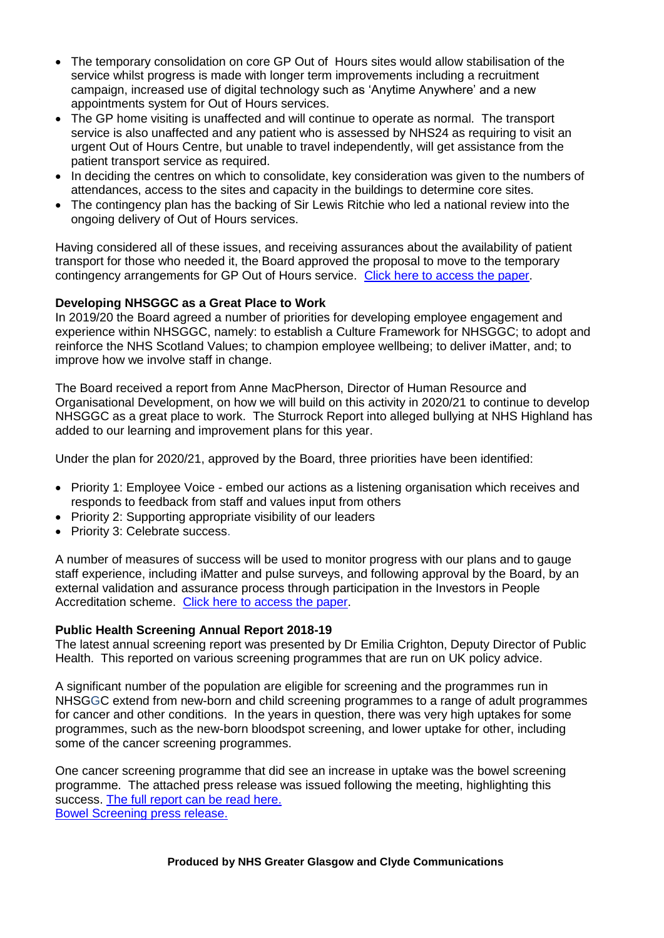- The temporary consolidation on core GP Out of Hours sites would allow stabilisation of the service whilst progress is made with longer term improvements including a recruitment campaign, increased use of digital technology such as 'Anytime Anywhere' and a new appointments system for Out of Hours services.
- The GP home visiting is unaffected and will continue to operate as normal. The transport service is also unaffected and any patient who is assessed by NHS24 as requiring to visit an urgent Out of Hours Centre, but unable to travel independently, will get assistance from the patient transport service as required.
- In deciding the centres on which to consolidate, key consideration was given to the numbers of attendances, access to the sites and capacity in the buildings to determine core sites.
- The contingency plan has the backing of Sir Lewis Ritchie who led a national review into the ongoing delivery of Out of Hours services.

Having considered all of these issues, and receiving assurances about the availability of patient transport for those who needed it, the Board approved the proposal to move to the temporary contingency arrangements for GP Out of Hours service. [Click here to access the paper.](https://www.nhsggc.org.uk/media/258578/item-13-paper-20_06-nhs-ggc-board-paper-out-of-hours-latest-amendments21-2.pdf)

# **Developing NHSGGC as a Great Place to Work**

In 2019/20 the Board agreed a number of priorities for developing employee engagement and experience within NHSGGC, namely: to establish a Culture Framework for NHSGGC; to adopt and reinforce the NHS Scotland Values; to champion employee wellbeing; to deliver iMatter, and; to improve how we involve staff in change.

The Board received a report from Anne MacPherson, Director of Human Resource and Organisational Development, on how we will build on this activity in 2020/21 to continue to develop NHSGGC as a great place to work. The Sturrock Report into alleged bullying at NHS Highland has added to our learning and improvement plans for this year.

Under the plan for 2020/21, approved by the Board, three priorities have been identified:

- Priority 1: Employee Voice embed our actions as a listening organisation which receives and responds to feedback from staff and values input from others
- Priority 2: Supporting appropriate visibility of our leaders
- Priority 3: Celebrate success.

A number of measures of success will be used to monitor progress with our plans and to gauge staff experience, including iMatter and pulse surveys, and following approval by the Board, by an external validation and assurance process through participation in the Investors in People Accreditation scheme. [Click here to access the paper.](https://www.nhsggc.org.uk/media/258596/item-25-paper-20_18-our-leadership-approach.pdf)

## **Public Health Screening Annual Report 2018-19**

The latest annual screening report was presented by Dr Emilia Crighton, Deputy Director of Public Health. This reported on various screening programmes that are run on UK policy advice.

A significant number of the population are eligible for screening and the programmes run in NHSGGC extend from new-born and child screening programmes to a range of adult programmes for cancer and other conditions. In the years in question, there was very high uptakes for some programmes, such as the new-born bloodspot screening, and lower uptake for other, including some of the cancer screening programmes.

One cancer screening programme that did see an increase in uptake was the bowel screening programme. The attached press release was issued following the meeting, highlighting this success. [The full report can be read here.](https://www.nhsggc.org.uk/media/258602/item-10-paper-20_03-public-health-screening-report-comb.pdf) [Bowel Screening press release.](https://www.nhsggc.org.uk/about-us/media-centre/news/2020/02/tens-of-thousands-more-screened-for-bowel-cancer-across-greater-glasgow-and-clyde/)